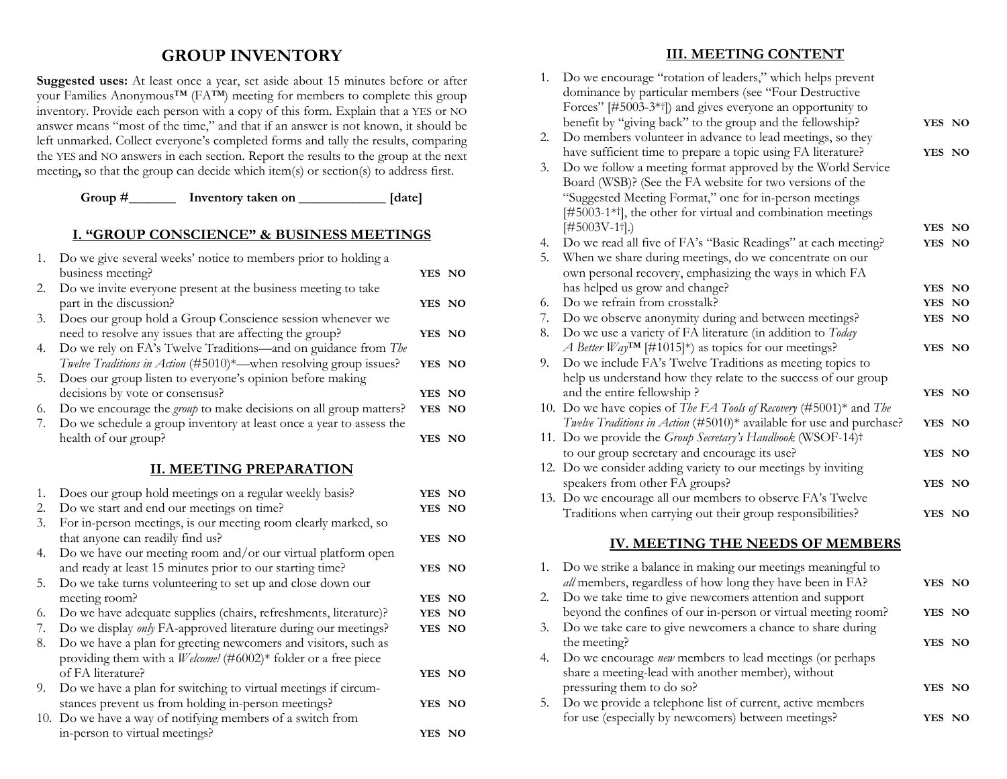### **GROUP INVENTORY**

**Suggested uses:** At least once a year, set aside about 15 minutes before or after your Families Anonymous™ (FA™) meeting for members to complete this group inventory. Provide each person with a copy of this form. Explain that a YES or NO answer means "most of the time," and that if an answer is not known, it should be left unmarked. Collect everyone's completed forms and tally the results, comparing the YES and NO answers in each section. Report the results to the group at the next meeting**,** so that the group can decide which item(s) or section(s) to address first.

#### Group #\_\_\_\_\_\_\_\_\_\_ Inventory taken on \_\_\_\_\_\_\_\_\_\_\_\_\_\_\_ [date]

#### **I. "GROUP CONSCIENCE" & BUSINESS MEETINGS**

|    | 1. Do we give several weeks' notice to members prior to holding a        |        |  |
|----|--------------------------------------------------------------------------|--------|--|
|    | business meeting?                                                        | YES NO |  |
| 2. | Do we invite everyone present at the business meeting to take            |        |  |
|    | part in the discussion?                                                  | YES NO |  |
| 3. | Does our group hold a Group Conscience session whenever we               |        |  |
|    | need to resolve any issues that are affecting the group?                 | YES NO |  |
| 4. | Do we rely on FA's Twelve Traditions—and on guidance from The            |        |  |
|    | Twelve Traditions in Action (#5010)*- when resolving group issues?       | YES NO |  |
| 5. | Does our group listen to everyone's opinion before making                |        |  |
|    | decisions by vote or consensus?                                          | YES NO |  |
| 6. | Do we encourage the <i>group</i> to make decisions on all group matters? | YES NO |  |
| 7. | Do we schedule a group inventory at least once a year to assess the      |        |  |
|    | health of our group?                                                     | YES NO |  |

#### **II. MEETING PREPARATION**

| 1. | Does our group hold meetings on a regular weekly basis?               | YES NO |  |
|----|-----------------------------------------------------------------------|--------|--|
| 2. | Do we start and end our meetings on time?                             | YES NO |  |
| 3. | For in-person meetings, is our meeting room clearly marked, so        |        |  |
|    | that anyone can readily find us?                                      | YES NO |  |
| 4. | Do we have our meeting room and/or our virtual platform open          |        |  |
|    | and ready at least 15 minutes prior to our starting time?             | YES NO |  |
| 5. | Do we take turns volunteering to set up and close down our            |        |  |
|    | meeting room?                                                         | YES NO |  |
| 6. | Do we have adequate supplies (chairs, refreshments, literature)?      | YES NO |  |
| 7. | Do we display <i>only</i> FA-approved literature during our meetings? | YES NO |  |
| 8. | Do we have a plan for greeting newcomers and visitors, such as        |        |  |
|    | providing them with a <i>Welcome!</i> (#6002)* folder or a free piece |        |  |
|    | of FA literature?                                                     | YES NO |  |
| 9. | Do we have a plan for switching to virtual meetings if circum-        |        |  |
|    | stances prevent us from holding in-person meetings?                   | YES NO |  |
|    | 10. Do we have a way of notifying members of a switch from            |        |  |
|    | in-person to virtual meetings?                                        | YES NO |  |

#### **III. MEETING CONTENT**

| 1. | Do we encourage "rotation of leaders," which helps prevent<br>dominance by particular members (see "Four Destructive  |        |  |
|----|-----------------------------------------------------------------------------------------------------------------------|--------|--|
|    | Forces" [#5003-3*]) and gives everyone an opportunity to<br>benefit by "giving back" to the group and the fellowship? | YES NO |  |
| 2. | Do members volunteer in advance to lead meetings, so they                                                             |        |  |
|    | have sufficient time to prepare a topic using FA literature?                                                          | YES NO |  |
| 3. | Do we follow a meeting format approved by the World Service                                                           |        |  |
|    | Board (WSB)? (See the FA website for two versions of the                                                              |        |  |
|    | "Suggested Meeting Format," one for in-person meetings                                                                |        |  |
|    | [#5003-1* <sup>†</sup> ], the other for virtual and combination meetings                                              |        |  |
|    | $[#5003V-1\dagger].$                                                                                                  | YES NO |  |
| 4. | Do we read all five of FA's "Basic Readings" at each meeting?                                                         | YES NO |  |
| 5. | When we share during meetings, do we concentrate on our                                                               |        |  |
|    | own personal recovery, emphasizing the ways in which FA                                                               |        |  |
|    | has helped us grow and change?                                                                                        | YES NO |  |
| 6. | Do we refrain from crosstalk?                                                                                         | YES NO |  |
| 7. | Do we observe anonymity during and between meetings?                                                                  | YES NO |  |
| 8. | Do we use a variety of FA literature (in addition to Today                                                            |        |  |
|    | A Better Way <sup>TM</sup> [#1015]*) as topics for our meetings?                                                      | YES NO |  |
| 9. | Do we include FA's Twelve Traditions as meeting topics to                                                             |        |  |
|    | help us understand how they relate to the success of our group                                                        |        |  |
|    | and the entire fellowship?                                                                                            | YES NO |  |
|    | 10. Do we have copies of The FA Tools of Recovery (#5001)* and The                                                    |        |  |
|    | Twelve Traditions in Action (#5010)* available for use and purchase?                                                  | YES NO |  |
|    | 11. Do we provide the Group Secretary's Handbook (WSOF-14)t                                                           |        |  |
|    | to our group secretary and encourage its use?                                                                         | YES NO |  |
|    | 12. Do we consider adding variety to our meetings by inviting                                                         |        |  |
|    | speakers from other FA groups?                                                                                        | YES NO |  |
|    | 13. Do we encourage all our members to observe FA's Twelve                                                            |        |  |
|    | Traditions when carrying out their group responsibilities?                                                            | YES NO |  |
|    | IV. MEETING THE NEEDS OF MEMBERS                                                                                      |        |  |
| 1. | Do we strike a balance in making our meetings meaningful to                                                           |        |  |
|    | all members, regardless of how long they have been in FA?                                                             | YES NO |  |
| 2. | Do we take time to give newcomers attention and support                                                               |        |  |
|    | beyond the confines of our in-person or virtual meeting room?                                                         | YES NO |  |
| 3. | Do we take care to give newcomers a chance to share during                                                            |        |  |
|    | the meeting?                                                                                                          | YES NO |  |
| 4. | Do we encourage new members to lead meetings (or perhaps                                                              |        |  |
|    | share a meeting-lead with another member), without                                                                    |        |  |
|    | pressuring them to do so?                                                                                             | YES NO |  |
| 5. | Do we provide a telephone list of current, active members                                                             |        |  |

for use (especially by newcomers) between meetings? **YES NO**